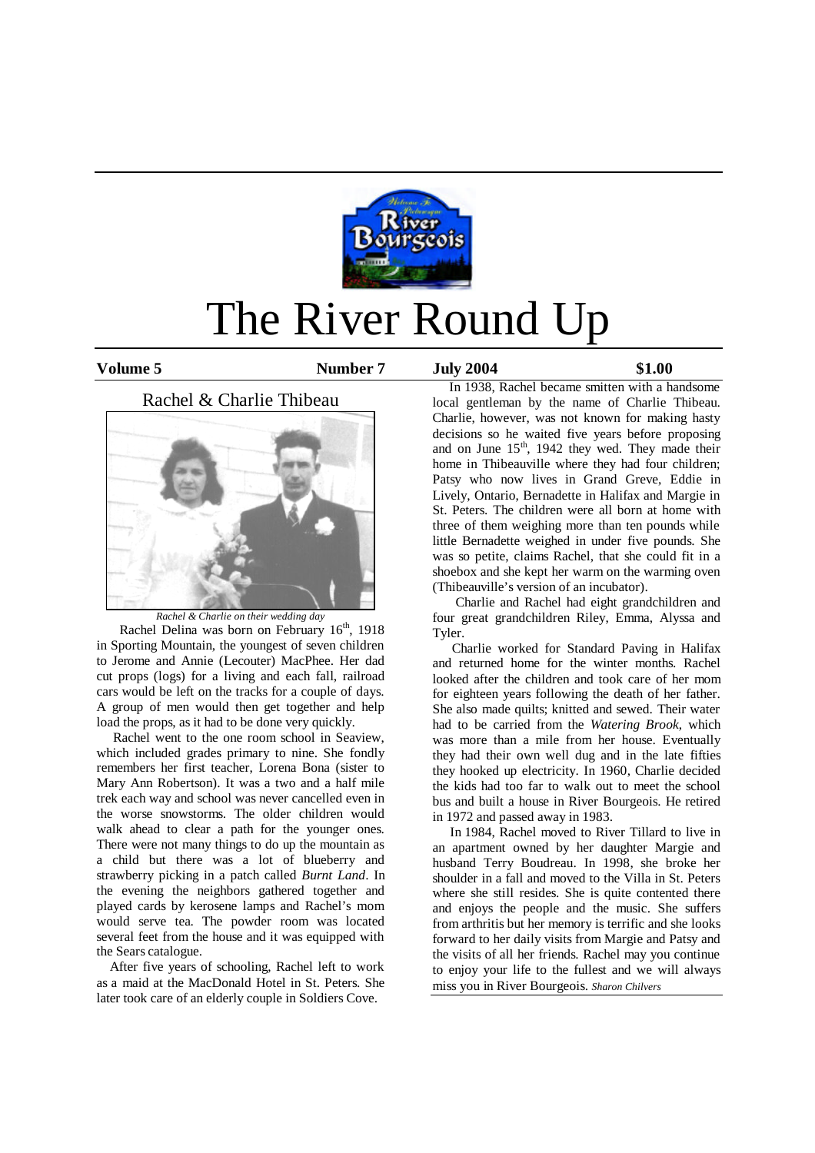

# The River Round Up

**Volume 5 Number 7 July 2004 \$1.00**

Rachel & Charlie Thibeau



*Rachel & Charlie on their wedding day*

Rachel Delina was born on February 16<sup>th</sup>, 1918 in Sporting Mountain, the youngest of seven children to Jerome and Annie (Lecouter) MacPhee. Her dad cut props (logs) for a living and each fall, railroad cars would be left on the tracks for a couple of days. A group of men would then get together and help load the props, as it had to be done very quickly.

 Rachel went to the one room school in Seaview, which included grades primary to nine. She fondly remembers her first teacher, Lorena Bona (sister to Mary Ann Robertson). It was a two and a half mile trek each way and school was never cancelled even in the worse snowstorms. The older children would walk ahead to clear a path for the younger ones. There were not many things to do up the mountain as a child but there was a lot of blueberry and strawberry picking in a patch called *Burnt Land*. In the evening the neighbors gathered together and played cards by kerosene lamps and Rachel's mom would serve tea. The powder room was located several feet from the house and it was equipped with the Sears catalogue.

 After five years of schooling, Rachel left to work as a maid at the MacDonald Hotel in St. Peters. She later took care of an elderly couple in Soldiers Cove.

 In 1938, Rachel became smitten with a handsome local gentleman by the name of Charlie Thibeau. Charlie, however, was not known for making hasty decisions so he waited five years before proposing and on June  $15<sup>th</sup>$ , 1942 they wed. They made their home in Thibeauville where they had four children; Patsy who now lives in Grand Greve, Eddie in Lively, Ontario, Bernadette in Halifax and Margie in St. Peters. The children were all born at home with three of them weighing more than ten pounds while little Bernadette weighed in under five pounds. She was so petite, claims Rachel, that she could fit in a shoebox and she kept her warm on the warming oven (Thibeauville's version of an incubator).

 Charlie and Rachel had eight grandchildren and four great grandchildren Riley, Emma, Alyssa and Tyler.

 Charlie worked for Standard Paving in Halifax and returned home for the winter months. Rachel looked after the children and took care of her mom for eighteen years following the death of her father. She also made quilts; knitted and sewed. Their water had to be carried from the *Watering Brook*, which was more than a mile from her house. Eventually they had their own well dug and in the late fifties they hooked up electricity. In 1960, Charlie decided the kids had too far to walk out to meet the school bus and built a house in River Bourgeois. He retired in 1972 and passed away in 1983.

 In 1984, Rachel moved to River Tillard to live in an apartment owned by her daughter Margie and husband Terry Boudreau. In 1998, she broke her shoulder in a fall and moved to the Villa in St. Peters where she still resides. She is quite contented there and enjoys the people and the music. She suffers from arthritis but her memory is terrific and she looks forward to her daily visits from Margie and Patsy and the visits of all her friends. Rachel may you continue to enjoy your life to the fullest and we will always miss you in River Bourgeois. *Sharon Chilvers*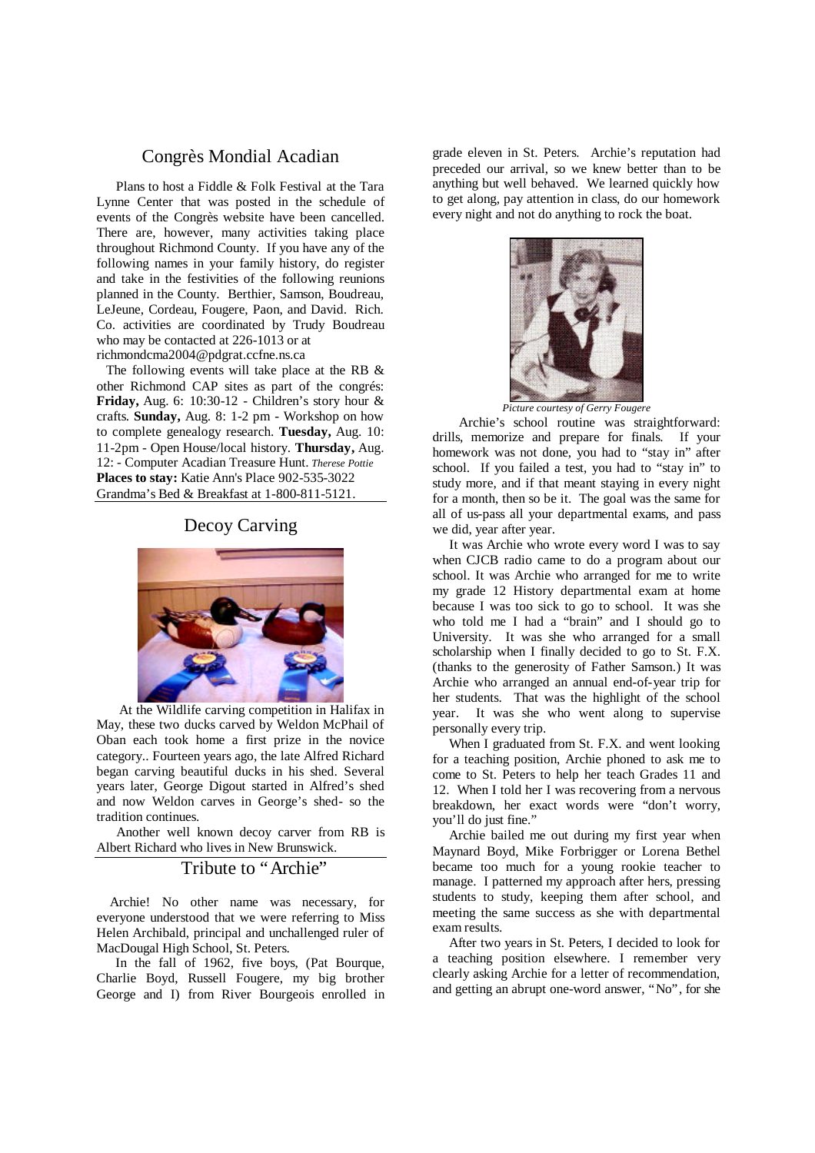## Congrès Mondial Acadian

 Plans to host a Fiddle & Folk Festival at the Tara Lynne Center that was posted in the schedule of events of the Congrès website have been cancelled. There are, however, many activities taking place throughout Richmond County. If you have any of the following names in your family history, do register and take in the festivities of the following reunions planned in the County. Berthier, Samson, Boudreau, LeJeune, Cordeau, Fougere, Paon, and David. Rich. Co. activities are coordinated by Trudy Boudreau who may be contacted at 226-1013 or at richmondcma2004@pdgrat.ccfne.ns.ca

The following events will take place at the RB & other Richmond CAP sites as part of the congrés: **Friday,** Aug. 6: 10:30-12 - Children's story hour & crafts. **Sunday,** Aug. 8: 1-2 pm - Workshop on how to complete genealogy research. **Tuesday,** Aug. 10: 11-2pm - Open House/local history. **Thursday,** Aug. 12: - Computer Acadian Treasure Hunt. *Therese Pottie* **Places to stay:** Katie Ann's Place 902-535-3022 Grandma's Bed & Breakfast at 1-800-811-5121.

#### Decoy Carving



 At the Wildlife carving competition in Halifax in May, these two ducks carved by Weldon McPhail of Oban each took home a first prize in the novice category.. Fourteen years ago, the late Alfred Richard began carving beautiful ducks in his shed. Several years later, George Digout started in Alfred's shed and now Weldon carves in George's shed- so the tradition continues.

 Another well known decoy carver from RB is Albert Richard who lives in New Brunswick.

## Tribute to "Archie"

 Archie! No other name was necessary, for everyone understood that we were referring to Miss Helen Archibald, principal and unchallenged ruler of MacDougal High School, St. Peters.

 In the fall of 1962, five boys, (Pat Bourque, Charlie Boyd, Russell Fougere, my big brother George and I) from River Bourgeois enrolled in grade eleven in St. Peters. Archie's reputation had preceded our arrival, so we knew better than to be anything but well behaved. We learned quickly how to get along, pay attention in class, do our homework every night and not do anything to rock the boat.



*Picture courtesy of Gerry Fougere*

 Archie's school routine was straightforward: drills, memorize and prepare for finals. If your homework was not done, you had to "stay in" after school. If you failed a test, you had to "stay in" to study more, and if that meant staying in every night for a month, then so be it. The goal was the same for all of us-pass all your departmental exams, and pass we did, year after year.

 It was Archie who wrote every word I was to say when CJCB radio came to do a program about our school. It was Archie who arranged for me to write my grade 12 History departmental exam at home because I was too sick to go to school. It was she who told me I had a "brain" and I should go to University. It was she who arranged for a small scholarship when I finally decided to go to St. F.X. (thanks to the generosity of Father Samson.) It was Archie who arranged an annual end-of-year trip for her students. That was the highlight of the school year. It was she who went along to supervise personally every trip.

 When I graduated from St. F.X. and went looking for a teaching position, Archie phoned to ask me to come to St. Peters to help her teach Grades 11 and 12. When I told her I was recovering from a nervous breakdown, her exact words were "don't worry, you'll do just fine."

 Archie bailed me out during my first year when Maynard Boyd, Mike Forbrigger or Lorena Bethel became too much for a young rookie teacher to manage. I patterned my approach after hers, pressing students to study, keeping them after school, and meeting the same success as she with departmental exam results.

 After two years in St. Peters, I decided to look for a teaching position elsewhere. I remember very clearly asking Archie for a letter of recommendation, and getting an abrupt one-word answer, "No", for she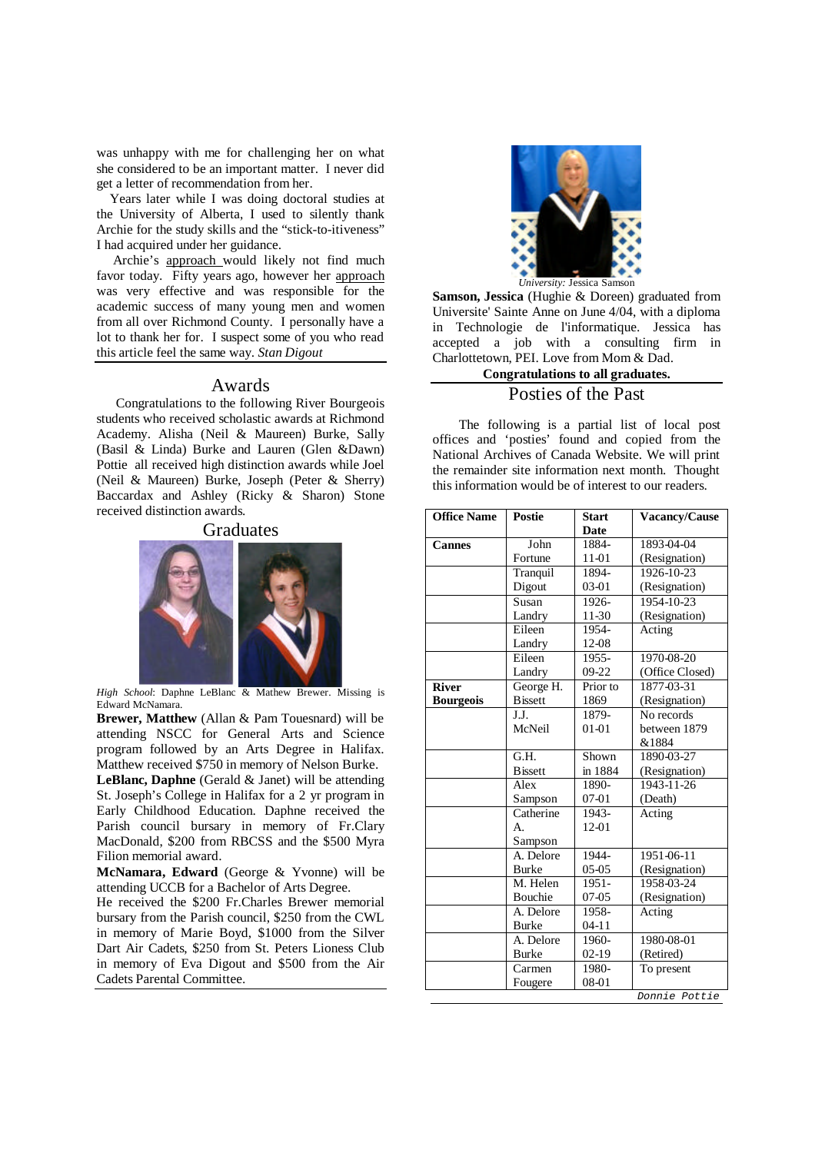was unhappy with me for challenging her on what she considered to be an important matter. I never did get a letter of recommendation from her.

 Years later while I was doing doctoral studies at the University of Alberta, I used to silently thank Archie for the study skills and the "stick-to-itiveness" I had acquired under her guidance.

 Archie's approach would likely not find much favor today. Fifty years ago, however her approach was very effective and was responsible for the academic success of many young men and women from all over Richmond County. I personally have a lot to thank her for. I suspect some of you who read this article feel the same way. *Stan Digout*

#### Awards

 Congratulations to the following River Bourgeois students who received scholastic awards at Richmond Academy. Alisha (Neil & Maureen) Burke, Sally (Basil & Linda) Burke and Lauren (Glen &Dawn) Pottie all received high distinction awards while Joel (Neil & Maureen) Burke, Joseph (Peter & Sherry) Baccardax and Ashley (Ricky & Sharon) Stone received distinction awards.



*High School*: Daphne LeBlanc & Mathew Brewer. Missing is Edward McNamara.

**Brewer, Matthew** (Allan & Pam Touesnard) will be attending NSCC for General Arts and Science program followed by an Arts Degree in Halifax. Matthew received \$750 in memory of Nelson Burke. **LeBlanc, Daphne** (Gerald & Janet) will be attending St. Joseph's College in Halifax for a 2 yr program in Early Childhood Education. Daphne received the Parish council bursary in memory of Fr.Clary

MacDonald, \$200 from RBCSS and the \$500 Myra Filion memorial award. **McNamara, Edward** (George & Yvonne) will be

attending UCCB for a Bachelor of Arts Degree.

He received the \$200 Fr.Charles Brewer memorial bursary from the Parish council, \$250 from the CWL in memory of Marie Boyd, \$1000 from the Silver Dart Air Cadets, \$250 from St. Peters Lioness Club in memory of Eva Digout and \$500 from the Air Cadets Parental Committee.



**Samson, Jessica** (Hughie & Doreen) graduated from Universite' Sainte Anne on June 4/04, with a diploma in Technologie de l'informatique. Jessica has accepted a job with a consulting firm in Charlottetown, PEI. Love from Mom & Dad.

## **Congratulations to all graduates.** Posties of the Past

 The following is a partial list of local post offices and 'posties' found and copied from the National Archives of Canada Website. We will print the remainder site information next month. Thought this information would be of interest to our readers.

| <b>Office Name</b> | <b>Postie</b>   | <b>Start</b> | Vacancy/Cause    |
|--------------------|-----------------|--------------|------------------|
|                    |                 | <b>Date</b>  |                  |
| <b>Cannes</b>      | John            | 1884-        | 1893-04-04       |
|                    | Fortune         | 11-01        | (Resignation)    |
|                    | Tranquil        | 1894-        | 1926-10-23       |
|                    | Digout          | 03-01        | (Resignation)    |
|                    | Susan           | 1926-        | 1954-10-23       |
|                    | Landry          | 11-30        | (Resignation)    |
|                    | Eileen          | 1954-        | Acting           |
|                    | Landry          | 12-08        |                  |
|                    | Eileen          | 1955-        | 1970-08-20       |
|                    | Landry          | 09-22        | (Office Closed)  |
| <b>River</b>       | George H.       | Prior to     | 1877-03-31       |
| <b>Bourgeois</b>   | <b>B</b> issett | 1869         | (Resignation)    |
|                    | J.J.            | 1879-        | No records       |
|                    | McNeil          | $01 - 01$    | between 1879     |
|                    |                 |              | &1884            |
|                    | G.H.            | Shown        | 1890-03-27       |
|                    | <b>B</b> issett | in 1884      | (Resignation)    |
|                    | Alex            | 1890-        | $1943 - 11 - 26$ |
|                    | Sampson         | $07 - 01$    | (Death)          |
|                    | Catherine       | 1943-        | Acting           |
|                    | A.              | 12-01        |                  |
|                    | Sampson         |              |                  |
|                    | A. Delore       | 1944-        | 1951-06-11       |
|                    | <b>Burke</b>    | $05-05$      | (Resignation)    |
|                    | M. Helen        | 1951-        | 1958-03-24       |
|                    | <b>Bouchie</b>  | $07-05$      | (Resignation)    |
|                    | A. Delore       | 1958-        | Acting           |
|                    | <b>Burke</b>    | $04-11$      |                  |
|                    | A. Delore       | 1960-        | 1980-08-01       |
|                    | <b>Burke</b>    | $02-19$      | (Retired)        |
|                    | Carmen          | 1980-        | To present       |
|                    | Fougere         | 08-01        |                  |
|                    |                 |              | Donnie Pottie    |